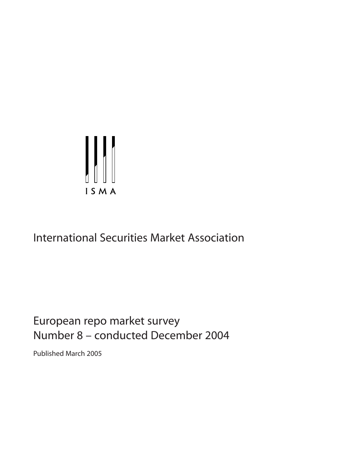

# International Securities Market Association

# European repo market survey Number 8 – conducted December 2004

Published March 2005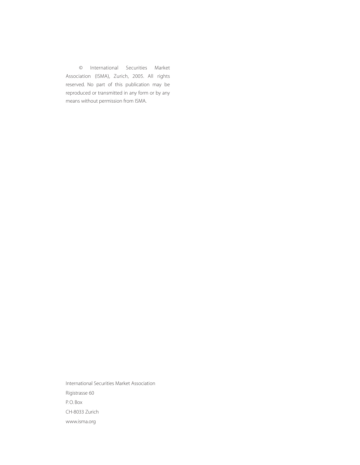© International Securities Market Association (ISMA), Zurich, 2005. All rights reserved. No part of this publication may be reproduced or transmitted in any form or by any means without permission from ISMA.

International Securities Market Association Rigistrasse 60 P. O. Box CH-8033 Zurich www.isma.org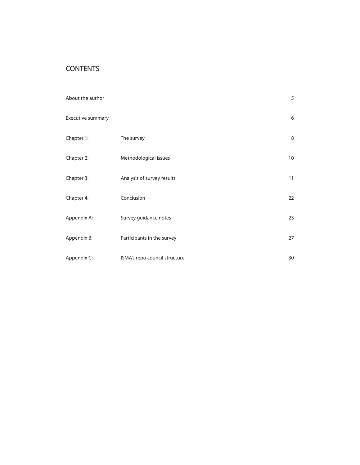# CONTENTS

| About the author  |                               | 5               |
|-------------------|-------------------------------|-----------------|
| Executive summary |                               | 6               |
| Chapter 1:        | The survey                    | 8               |
| Chapter 2:        | Methodological issues         | 10 <sup>°</sup> |
| Chapter 3:        | Analysis of survey results    | 11              |
| Chapter 4:        | Conclusion                    | 22              |
| Appendix A:       | Survey guidance notes         | 23              |
| Appendix B:       | Participants in the survey    | 27              |
| Appendix C:       | ISMA's repo council structure | 30              |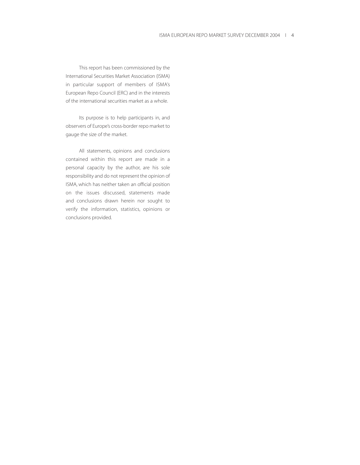This report has been commissioned by the International Securities Market Association (ISMA) in particular support of members of ISMA's European Repo Council (ERC) and in the interests of the international securities market as a whole.

Its purpose is to help participants in, and observers of Europe's cross-border repo market to gauge the size of the market.

All statements, opinions and conclusions contained within this report are made in a personal capacity by the author, are his sole responsibility and do not represent the opinion of ISMA, which has neither taken an official position on the issues discussed, statements made and conclusions drawn herein nor sought to verify the information, statistics, opinions or conclusions provided.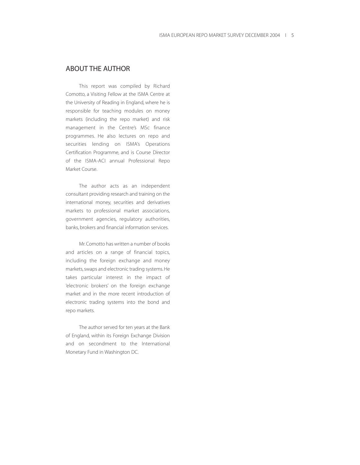## ABOUT THE AUTHOR

This report was compiled by Richard Comotto, a Visiting Fellow at the ISMA Centre at the University of Reading in England, where he is responsible for teaching modules on money markets (including the repo market) and risk management in the Centre's MSc finance programmes. He also lectures on repo and securities lending on ISMA's Operations Certification Programme, and is Course Director of the ISMA-ACI annual Professional Repo Market Course.

The author acts as an independent consultant providing research and training on the international money, securities and derivatives markets to professional market associations, government agencies, regulatory authorities, banks, brokers and financial information services.

Mr. Comotto has written a number of books and articles on a range of financial topics, including the foreign exchange and money markets, swaps and electronic trading systems. He takes particular interest in the impact of 'electronic brokers' on the foreign exchange market and in the more recent introduction of electronic trading systems into the bond and repo markets.

The author served for ten years at the Bank of England, within its Foreign Exchange Division and on secondment to the International Monetary Fund in Washington DC.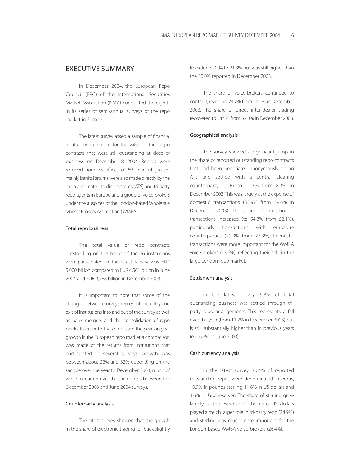## EXECUTIVE SUMMARY

In December 2004, the European Repo Council (ERC) of the International Securities Market Association (ISMA) conducted the eighth in its series of semi-annual surveys of the repo market in Europe.

The latest survey asked a sample of financial institutions in Europe for the value of their repo contracts that were still outstanding at close of business on December 8, 2004. Replies were received from 76 offices of 69 financial groups, mainly banks.Returns were also made directly by the main automated trading systems (ATS) and tri-party repo agents in Europe and a group of voice-brokers under the auspices of the London-based Wholesale Market Brokers Association (WMBA).

#### Total repo business

The total value of repo contracts outstanding on the books of the 76 institutions who participated in the latest survey was EUR 5,000 billion, compared to EUR 4,561 billion in June 2004 and EUR 3,788 billion in December 2003.

It is important to note that some of the changes between surveys represent the entry and exit of institutions into and out of the survey,as well as bank mergers and the consolidation of repo books. In order to try to measure the year-on-year growth in the European repo market,a comparison was made of the returns from institutions that participated in several surveys. Growth was between about 22% and 32% depending on the sample over the year to December 2004, much of which occurred over the six months between the December 2003 and June 2004 surveys.

#### Counterparty analysis

The latest survey showed that the growth in the share of electronic trading fell back slightly from June 2004 to 21.3% but was still higher than the 20.0% reported in December 2003.

The share of voice-brokers continued to contract, reaching 24.2% from 27.2% in December 2003. The share of direct inter-dealer trading recovered to 54.5% from 52.8% in December 2003.

#### Geographical analysis

The survey showed a significant jump in the share of reported outstanding repo contracts that had been negotiated anonymously on an ATS and settled with a central clearing counterparty (CCP) to 11.7% from 8.3% in December 2003.This was largely at the expense of domestic transactions (33.9% from 39.6% in December 2003). The share of cross-border transactions increased (to 54.3% from 52.1%), particularly transactions with eurozone counterparties (29.9% from 27.3%). Domestic transactions were more important for the WMBA voice-brokers (43.6%), reflecting their role in the large London repo market.

#### Settlement analysis

In the latest survey, 9.8% of total outstanding business was settled through triparty repo arrangements. This represents a fall over the year (from 11.2% in December 2003) but is still substantially higher than in previous years (e.g. 6.2% in June 2003).

#### Cash currency analysis

In the latest survey, 70.4% of reported outstanding repos were denominated in euros, 10.9% in pounds sterling, 11.6% in US dollars and 3.6% in Japanese yen. The share of sterling grew largely at the expense of the euro. US dollars played a much larger role in tri-party repo (24.9%) and sterling was much more important for the London-based WMBA voice-brokers (26.4%).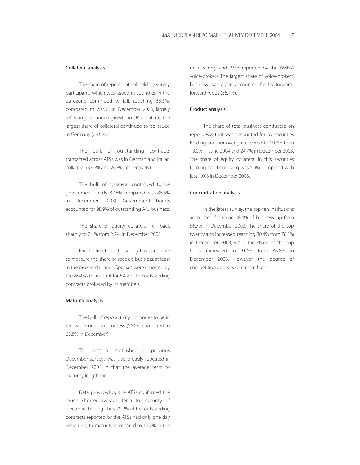#### Collateral analysis

The share of repo collateral held by survey participants which was issued in countries in the eurozone continued to fall, touching 66.3%, compared to 70.5% in December 2003, largely reflecting continued growth in UK collateral. The largest share of collateral continued to be issued in Germany (24.9%).

The bulk of outstanding contracts transacted across ATSs was in German and Italian collateral (37.6% and 26.8% respectively).

The bulk of collateral continued to be government bonds (87.8% compared with 86.6% in December 2003). Government bonds accounted for 98.9% of outstanding ATS business.

The share of equity collateral fell back sharply to 0.4% from 2.2% in December 2003.

For the first time, the survey has been able to measure the share of specials business, at least in the brokered market. Specials were reported by the WMBA to account for 6.4% of the outstanding contracts brokered by its members.

#### Maturity analysis

The bulk of repo activity continues to be in terms of one month or less (66.0% compared to 63.8% in December).

The pattern established in previous December surveys was also broadly repeated in December 2004 in that the average term to maturity lengthened.

Data provided by the ATSs confirmed the much shorter average term to maturity of electronic trading. Thus, 79.2% of the outstanding contracts reported by the ATSs had only one day remaining to maturity compared to 17.7% in the

main survey and 2.9% reported by the WMBA voice-brokers. The largest share of voice-brokers' business was again accounted for by forwardforward repos (36.7%).

#### Product analysis

The share of total business conducted on repo desks that was accounted for by securities lending and borrowing recovered to 19.2% from 13.0% in June 2004 and 24.7% in December 2003. The share of equity collateral in this securities lending and borrowing was 5.9% compared with just 1.0% in December 2003.

#### Concentration analysis

In the latest survey, the top ten institutions accounted for some 58.4% of business, up from 56.7% in December 2003. The share of the top twenty also increased, reaching 80.4% from 78.1% in December 2003, while the share of the top thirty increased to 91.5% from 88.8% in December 2003. However, the degree of competition appears to remain high.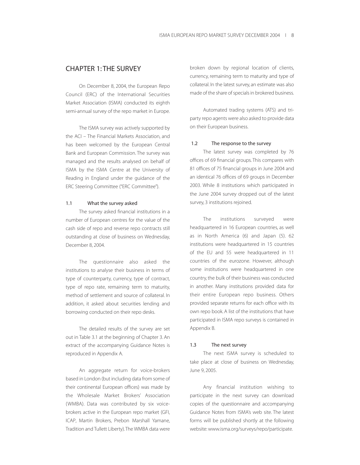## CHAPTER 1: THE SURVEY

On December 8, 2004, the European Repo Council (ERC) of the International Securities Market Association (ISMA) conducted its eighth semi-annual survey of the repo market in Europe.

The ISMA survey was actively supported by the ACI – The Financial Markets Association, and has been welcomed by the European Central Bank and European Commission. The survey was managed and the results analysed on behalf of ISMA by the ISMA Centre at the University of Reading in England under the guidance of the ERC Steering Committee ("ERC Committee").

#### 1.1 What the survey asked

The survey asked financial institutions in a number of European centres for the value of the cash side of repo and reverse repo contracts still outstanding at close of business on Wednesday, December 8, 2004.

The questionnaire also asked the institutions to analyse their business in terms of type of counterparty, currency, type of contract, type of repo rate, remaining term to maturity, method of settlement and source of collateral. In addition, it asked about securities lending and borrowing conducted on their repo desks.

The detailed results of the survey are set out in Table 3.1 at the beginning of Chapter 3. An extract of the accompanying Guidance Notes is reproduced in Appendix A.

An aggregate return for voice-brokers based in London (but including data from some of their continental European offices) was made by the Wholesale Market Brokers' Association (WMBA). Data was contributed by six voicebrokers active in the European repo market (GFI, ICAP, Martin Brokers, Prebon Marshall Yamane, Tradition and Tullett Liberty).The WMBA data were

broken down by regional location of clients, currency, remaining term to maturity and type of collateral. In the latest survey, an estimate was also made of the share of specials in brokered business.

Automated trading systems (ATS) and triparty repo agents were also asked to provide data on their European business.

#### 1.2 The response to the survey

The latest survey was completed by 76 offices of 69 financial groups. This compares with 81 offices of 75 financial groups in June 2004 and an identical 76 offices of 69 groups in December 2003. While 8 institutions which participated in the June 2004 survey dropped out of the latest survey, 3 institutions rejoined.

The institutions surveyed were headquartered in 16 European countries, as well as in North America (6) and Japan (5). 62 institutions were headquartered in 15 countries of the EU and 55 were headquartered in 11 countries of the eurozone. However, although some institutions were headquartered in one country, the bulk of their business was conducted in another. Many institutions provided data for their entire European repo business. Others provided separate returns for each office with its own repo book. A list of the institutions that have participated in ISMA repo surveys is contained in Appendix B.

#### 1.3 The next survey

The next ISMA survey is scheduled to take place at close of business on Wednesday, June 9, 2005.

Any financial institution wishing to participate in the next survey can download copies of the questionnaire and accompanying Guidance Notes from ISMA's web site. The latest forms will be published shortly at the following website: www.isma.org/surveys/repo/participate.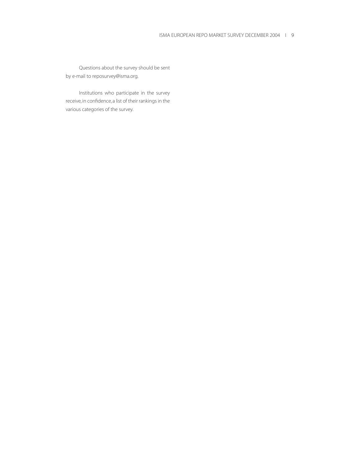Questions about the survey should be sent by e-mail to reposurvey@isma.org.

Institutions who participate in the survey receive, in confidence, a list of their rankings in the various categories of the survey.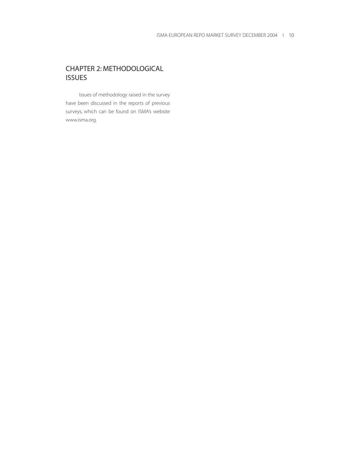# CHAPTER 2: METHODOLOGICAL **ISSUES**

Issues of methodology raised in the survey have been discussed in the reports of previous surveys, which can be found on ISMA's website www.isma.org.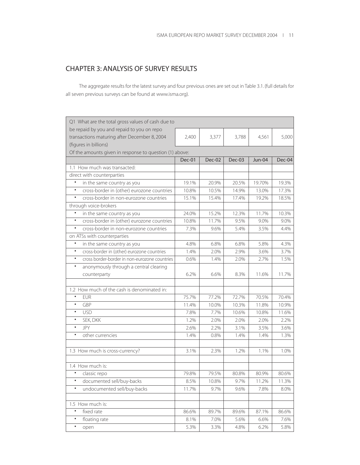# CHAPTER 3: ANALYSIS OF SURVEY RESULTS

The aggregate results for the latest survey and four previous ones are set out in Table 3.1. (full details for all seven previous surveys can be found at www.isma.org).

| Q1 What are the total gross values of cash due to                                                                   |        |        |        |               |        |
|---------------------------------------------------------------------------------------------------------------------|--------|--------|--------|---------------|--------|
| be repaid by you and repaid to you on repo<br>transactions maturing after December 8, 2004<br>(figures in billions) | 2,400  | 3,377  | 3,788  | 4,561         | 5,000  |
| Of the amounts given in response to question (1) above:                                                             |        |        |        |               |        |
|                                                                                                                     | Dec-01 | Dec-02 | Dec-03 | <b>Jun-04</b> | Dec-04 |
| 1.1 How much was transacted:                                                                                        |        |        |        |               |        |
| direct with counterparties                                                                                          |        |        |        |               |        |
| in the same country as you<br>٠                                                                                     | 19.1%  | 20.9%  | 20.5%  | 19.70%        | 19.3%  |
| cross-border in (other) eurozone countries<br>$\bullet$                                                             | 10.8%  | 10.5%  | 14.9%  | 13.0%         | 17.3%  |
| $\bullet$<br>cross-border in non-eurozone countries                                                                 | 15.1%  | 15.4%  | 17.4%  | 19.2%         | 18.5%  |
| through voice-brokers                                                                                               |        |        |        |               |        |
| $\bullet$<br>in the same country as you                                                                             | 24.0%  | 15.2%  | 12.3%  | 11.7%         | 10.3%  |
| $\bullet$<br>cross-border in (other) eurozone countries                                                             | 10.8%  | 11.7%  | 9.5%   | 9.0%          | 9.0%   |
| $\bullet$<br>cross-border in non-eurozone countries                                                                 | 7.3%   | 9.6%   | 5.4%   | 3.5%          | 4.4%   |
| on ATSs with counterparties                                                                                         |        |        |        |               |        |
| $\bullet$<br>in the same country as you                                                                             | 4.8%   | 6.8%   | 6.8%   | 5.8%          | 4.3%   |
| $\bullet$<br>cross-border in (other) eurozone countries                                                             | 1.4%   | 2.0%   | 2.9%   | 3.6%          | 3.7%   |
| $\bullet$<br>cross border-border in non-eurozone countries                                                          | 0.6%   | 1.4%   | 2.0%   | 2.7%          | 1.5%   |
| $\bullet$<br>anonymously through a central clearing                                                                 |        |        |        |               |        |
| counterparty                                                                                                        | 6.2%   | 6.6%   | 8.3%   | 11.6%         | 11.7%  |
| 1.2 How much of the cash is denominated in:                                                                         |        |        |        |               |        |
| $\bullet$<br><b>EUR</b>                                                                                             | 75.7%  | 77.2%  | 72.7%  | 70.5%         | 70.4%  |
| $\bullet$<br>GBP                                                                                                    | 11.4%  | 10.0%  | 10.3%  | 11.8%         | 10.9%  |
| $\bullet$<br><b>USD</b>                                                                                             | 7.8%   | 7.7%   | 10.6%  | 10.8%         | 11.6%  |
| $\bullet$<br>SEK, DKK                                                                                               | 1.2%   | 2.0%   | 2.0%   | 2.0%          | 2.2%   |
| JPY<br>$\bullet$                                                                                                    | 2.6%   | 2.2%   | 3.1%   | 3.5%          | 3.6%   |
| $\bullet$<br>other currencies                                                                                       | 1.4%   | 0.8%   | 1.4%   | 1.4%          | 1.3%   |
| 1.3 How much is cross-currency?                                                                                     | 3.1%   | 2.3%   | 1.2%   | 1.1%          | 1.0%   |
| 1.4 How much is:                                                                                                    |        |        |        |               |        |
| ٠<br>classic repo                                                                                                   | 79.8%  | 79.5%  | 80.8%  | 80.9%         | 80.6%  |
| documented sell/buy-backs<br>$\bullet$                                                                              | 8.5%   | 10.8%  | 9.7%   | 11.2%         | 11.3%  |
| undocumented sell/buy-backs<br>٠                                                                                    | 11.7%  | 9.7%   | 9.6%   | 7.8%          | 8.0%   |
| 1.5 How much is:                                                                                                    |        |        |        |               |        |
| fixed rate<br>$\bullet$                                                                                             | 86.6%  | 89.7%  | 89.6%  | 87.1%         | 86.6%  |
| floating rate<br>٠                                                                                                  | 8.1%   | 7.0%   | 5.6%   | 6.6%          | 7.6%   |
| $\bullet$<br>open                                                                                                   | 5.3%   | 3.3%   | 4.8%   | 6.2%          | 5.8%   |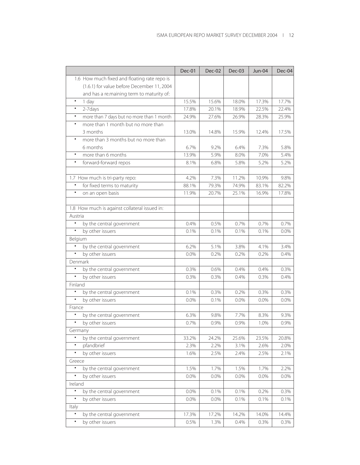| 1.6 How much fixed and floating rate repo is<br>(1.6.1) for value before December 11, 2004<br>and has a re.maining term to maturity of:<br>15.5%<br>15.6%<br>17.7%<br>$\bullet$<br>1 day<br>18.0%<br>17.3%<br>2-7days<br>17.8%<br>$\bullet$<br>20.1%<br>18.9%<br>22.5%<br>22.4%<br>more than 7 days but no more than 1 month<br>$\bullet$<br>24.9%<br>27.6%<br>26.9%<br>28.3%<br>25.9%<br>more than 1 month but no more than<br>$\bullet$<br>3 months<br>13.0%<br>14.8%<br>15.9%<br>12.4%<br>17.5%<br>more than 3 months but no more than<br>$\bullet$<br>6 months<br>6.7%<br>9.2%<br>5.8%<br>6.4%<br>7.3%<br>more than 6 months<br>13.9%<br>5.9%<br>7.0%<br>5.4%<br>$\bullet$<br>8.0%<br>5.2%<br>$\bullet$<br>forward-forward repos<br>8.1%<br>5.8%<br>5.2%<br>6.8%<br>1.7 How much is tri-party repo:<br>7.3%<br>11.2%<br>10.9%<br>4.2%<br>9.8%<br>$\bullet$<br>for fixed terms to maturity<br>88.1%<br>79.3%<br>74.9%<br>83.1%<br>82.2%<br>on an open basis<br>20.7%<br>25.1%<br>$\bullet$<br>11.9%<br>16.9%<br>17.8%<br>1.8 How much is against collateral issued in:<br>Austria<br>by the central government<br>$\bullet$<br>0.7%<br>0.7%<br>0.4%<br>0.5%<br>0.7%<br>$\bullet$<br>by other issuers<br>0.1%<br>0.1%<br>0.1%<br>0.1%<br>0.0%<br>Belgium<br>by the central government<br>$\bullet$<br>6.2%<br>5.1%<br>3.8%<br>$-4.1%$<br>3.4%<br>$\bullet$<br>by other issuers<br>0.0%<br>0.2%<br>0.2%<br>0.2%<br>0.4%<br>Denmark<br>by the central government<br>$\bullet$<br>0.3%<br>0.3%<br>0.6%<br>0.4%<br>0.4%<br>by other issuers<br>0.3%<br>0.3%<br>0.4%<br>0.3%<br>0.4%<br>Finland<br>$\bullet$<br>by the central government<br>0.1%<br>0.3%<br>0.2%<br>0.3%<br>0.3%<br>by other issuers<br>$\bullet$<br>0.1%<br>0.0%<br>0.0%<br>0.0%<br>0.0%<br>France<br>by the central government<br>7.7%<br>$\bullet$<br>6.3%<br>9.8%<br>8.3%<br>9.3%<br>$\bullet$<br>by other issuers<br>0.7%<br>0.9%<br>0.9%<br>0.9%<br>1.0%<br>Germany<br>$\bullet$<br>by the central government<br>25.6%<br>20.8%<br>33.2%<br>24.2%<br>23.5%<br>pfandbrief<br>$\bullet$<br>2.3%<br>2.2%<br>3.1%<br>2.6%<br>2.0%<br>by other issuers<br>$\bullet$<br>1.6%<br>2.5%<br>2.1%<br>2.4%<br>2.5%<br>Greece<br>1.5%<br>2.2%<br>$\bullet$<br>by the central government<br>1.7%<br>1.5%<br>1.7%<br>by other issuers<br>0.0%<br>0.0%<br>0.0%<br>0.0%<br>0.0%<br>٠<br>Ireland<br>$\bullet$<br>by the central government<br>0.3%<br>0.0%<br>0.1%<br>0.1%<br>0.2%<br>$\bullet$<br>by other issuers<br>0.1%<br>0.0%<br>0.0%<br>0.1%<br>0.1%<br>Italy<br>$\bullet$<br>17.3%<br>by the central government<br>17.2%<br>14.2%<br>14.0%<br>14.4% |                               | Dec-01 | Dec-02 | Dec-03 | <b>Jun-04</b> | Dec-04 |
|---------------------------------------------------------------------------------------------------------------------------------------------------------------------------------------------------------------------------------------------------------------------------------------------------------------------------------------------------------------------------------------------------------------------------------------------------------------------------------------------------------------------------------------------------------------------------------------------------------------------------------------------------------------------------------------------------------------------------------------------------------------------------------------------------------------------------------------------------------------------------------------------------------------------------------------------------------------------------------------------------------------------------------------------------------------------------------------------------------------------------------------------------------------------------------------------------------------------------------------------------------------------------------------------------------------------------------------------------------------------------------------------------------------------------------------------------------------------------------------------------------------------------------------------------------------------------------------------------------------------------------------------------------------------------------------------------------------------------------------------------------------------------------------------------------------------------------------------------------------------------------------------------------------------------------------------------------------------------------------------------------------------------------------------------------------------------------------------------------------------------------------------------------------------------------------------------------------------------------------------------------------------------------------------------------------------------------------------------------------------------------------------------------------------------------------------------------------------------------------------------------------------------------------------------------------------------------------------------------------|-------------------------------|--------|--------|--------|---------------|--------|
|                                                                                                                                                                                                                                                                                                                                                                                                                                                                                                                                                                                                                                                                                                                                                                                                                                                                                                                                                                                                                                                                                                                                                                                                                                                                                                                                                                                                                                                                                                                                                                                                                                                                                                                                                                                                                                                                                                                                                                                                                                                                                                                                                                                                                                                                                                                                                                                                                                                                                                                                                                                                               |                               |        |        |        |               |        |
|                                                                                                                                                                                                                                                                                                                                                                                                                                                                                                                                                                                                                                                                                                                                                                                                                                                                                                                                                                                                                                                                                                                                                                                                                                                                                                                                                                                                                                                                                                                                                                                                                                                                                                                                                                                                                                                                                                                                                                                                                                                                                                                                                                                                                                                                                                                                                                                                                                                                                                                                                                                                               |                               |        |        |        |               |        |
|                                                                                                                                                                                                                                                                                                                                                                                                                                                                                                                                                                                                                                                                                                                                                                                                                                                                                                                                                                                                                                                                                                                                                                                                                                                                                                                                                                                                                                                                                                                                                                                                                                                                                                                                                                                                                                                                                                                                                                                                                                                                                                                                                                                                                                                                                                                                                                                                                                                                                                                                                                                                               |                               |        |        |        |               |        |
|                                                                                                                                                                                                                                                                                                                                                                                                                                                                                                                                                                                                                                                                                                                                                                                                                                                                                                                                                                                                                                                                                                                                                                                                                                                                                                                                                                                                                                                                                                                                                                                                                                                                                                                                                                                                                                                                                                                                                                                                                                                                                                                                                                                                                                                                                                                                                                                                                                                                                                                                                                                                               |                               |        |        |        |               |        |
|                                                                                                                                                                                                                                                                                                                                                                                                                                                                                                                                                                                                                                                                                                                                                                                                                                                                                                                                                                                                                                                                                                                                                                                                                                                                                                                                                                                                                                                                                                                                                                                                                                                                                                                                                                                                                                                                                                                                                                                                                                                                                                                                                                                                                                                                                                                                                                                                                                                                                                                                                                                                               |                               |        |        |        |               |        |
|                                                                                                                                                                                                                                                                                                                                                                                                                                                                                                                                                                                                                                                                                                                                                                                                                                                                                                                                                                                                                                                                                                                                                                                                                                                                                                                                                                                                                                                                                                                                                                                                                                                                                                                                                                                                                                                                                                                                                                                                                                                                                                                                                                                                                                                                                                                                                                                                                                                                                                                                                                                                               |                               |        |        |        |               |        |
|                                                                                                                                                                                                                                                                                                                                                                                                                                                                                                                                                                                                                                                                                                                                                                                                                                                                                                                                                                                                                                                                                                                                                                                                                                                                                                                                                                                                                                                                                                                                                                                                                                                                                                                                                                                                                                                                                                                                                                                                                                                                                                                                                                                                                                                                                                                                                                                                                                                                                                                                                                                                               |                               |        |        |        |               |        |
|                                                                                                                                                                                                                                                                                                                                                                                                                                                                                                                                                                                                                                                                                                                                                                                                                                                                                                                                                                                                                                                                                                                                                                                                                                                                                                                                                                                                                                                                                                                                                                                                                                                                                                                                                                                                                                                                                                                                                                                                                                                                                                                                                                                                                                                                                                                                                                                                                                                                                                                                                                                                               |                               |        |        |        |               |        |
|                                                                                                                                                                                                                                                                                                                                                                                                                                                                                                                                                                                                                                                                                                                                                                                                                                                                                                                                                                                                                                                                                                                                                                                                                                                                                                                                                                                                                                                                                                                                                                                                                                                                                                                                                                                                                                                                                                                                                                                                                                                                                                                                                                                                                                                                                                                                                                                                                                                                                                                                                                                                               |                               |        |        |        |               |        |
|                                                                                                                                                                                                                                                                                                                                                                                                                                                                                                                                                                                                                                                                                                                                                                                                                                                                                                                                                                                                                                                                                                                                                                                                                                                                                                                                                                                                                                                                                                                                                                                                                                                                                                                                                                                                                                                                                                                                                                                                                                                                                                                                                                                                                                                                                                                                                                                                                                                                                                                                                                                                               |                               |        |        |        |               |        |
|                                                                                                                                                                                                                                                                                                                                                                                                                                                                                                                                                                                                                                                                                                                                                                                                                                                                                                                                                                                                                                                                                                                                                                                                                                                                                                                                                                                                                                                                                                                                                                                                                                                                                                                                                                                                                                                                                                                                                                                                                                                                                                                                                                                                                                                                                                                                                                                                                                                                                                                                                                                                               |                               |        |        |        |               |        |
|                                                                                                                                                                                                                                                                                                                                                                                                                                                                                                                                                                                                                                                                                                                                                                                                                                                                                                                                                                                                                                                                                                                                                                                                                                                                                                                                                                                                                                                                                                                                                                                                                                                                                                                                                                                                                                                                                                                                                                                                                                                                                                                                                                                                                                                                                                                                                                                                                                                                                                                                                                                                               |                               |        |        |        |               |        |
|                                                                                                                                                                                                                                                                                                                                                                                                                                                                                                                                                                                                                                                                                                                                                                                                                                                                                                                                                                                                                                                                                                                                                                                                                                                                                                                                                                                                                                                                                                                                                                                                                                                                                                                                                                                                                                                                                                                                                                                                                                                                                                                                                                                                                                                                                                                                                                                                                                                                                                                                                                                                               |                               |        |        |        |               |        |
|                                                                                                                                                                                                                                                                                                                                                                                                                                                                                                                                                                                                                                                                                                                                                                                                                                                                                                                                                                                                                                                                                                                                                                                                                                                                                                                                                                                                                                                                                                                                                                                                                                                                                                                                                                                                                                                                                                                                                                                                                                                                                                                                                                                                                                                                                                                                                                                                                                                                                                                                                                                                               |                               |        |        |        |               |        |
|                                                                                                                                                                                                                                                                                                                                                                                                                                                                                                                                                                                                                                                                                                                                                                                                                                                                                                                                                                                                                                                                                                                                                                                                                                                                                                                                                                                                                                                                                                                                                                                                                                                                                                                                                                                                                                                                                                                                                                                                                                                                                                                                                                                                                                                                                                                                                                                                                                                                                                                                                                                                               |                               |        |        |        |               |        |
|                                                                                                                                                                                                                                                                                                                                                                                                                                                                                                                                                                                                                                                                                                                                                                                                                                                                                                                                                                                                                                                                                                                                                                                                                                                                                                                                                                                                                                                                                                                                                                                                                                                                                                                                                                                                                                                                                                                                                                                                                                                                                                                                                                                                                                                                                                                                                                                                                                                                                                                                                                                                               |                               |        |        |        |               |        |
|                                                                                                                                                                                                                                                                                                                                                                                                                                                                                                                                                                                                                                                                                                                                                                                                                                                                                                                                                                                                                                                                                                                                                                                                                                                                                                                                                                                                                                                                                                                                                                                                                                                                                                                                                                                                                                                                                                                                                                                                                                                                                                                                                                                                                                                                                                                                                                                                                                                                                                                                                                                                               |                               |        |        |        |               |        |
|                                                                                                                                                                                                                                                                                                                                                                                                                                                                                                                                                                                                                                                                                                                                                                                                                                                                                                                                                                                                                                                                                                                                                                                                                                                                                                                                                                                                                                                                                                                                                                                                                                                                                                                                                                                                                                                                                                                                                                                                                                                                                                                                                                                                                                                                                                                                                                                                                                                                                                                                                                                                               |                               |        |        |        |               |        |
|                                                                                                                                                                                                                                                                                                                                                                                                                                                                                                                                                                                                                                                                                                                                                                                                                                                                                                                                                                                                                                                                                                                                                                                                                                                                                                                                                                                                                                                                                                                                                                                                                                                                                                                                                                                                                                                                                                                                                                                                                                                                                                                                                                                                                                                                                                                                                                                                                                                                                                                                                                                                               |                               |        |        |        |               |        |
|                                                                                                                                                                                                                                                                                                                                                                                                                                                                                                                                                                                                                                                                                                                                                                                                                                                                                                                                                                                                                                                                                                                                                                                                                                                                                                                                                                                                                                                                                                                                                                                                                                                                                                                                                                                                                                                                                                                                                                                                                                                                                                                                                                                                                                                                                                                                                                                                                                                                                                                                                                                                               |                               |        |        |        |               |        |
|                                                                                                                                                                                                                                                                                                                                                                                                                                                                                                                                                                                                                                                                                                                                                                                                                                                                                                                                                                                                                                                                                                                                                                                                                                                                                                                                                                                                                                                                                                                                                                                                                                                                                                                                                                                                                                                                                                                                                                                                                                                                                                                                                                                                                                                                                                                                                                                                                                                                                                                                                                                                               |                               |        |        |        |               |        |
|                                                                                                                                                                                                                                                                                                                                                                                                                                                                                                                                                                                                                                                                                                                                                                                                                                                                                                                                                                                                                                                                                                                                                                                                                                                                                                                                                                                                                                                                                                                                                                                                                                                                                                                                                                                                                                                                                                                                                                                                                                                                                                                                                                                                                                                                                                                                                                                                                                                                                                                                                                                                               |                               |        |        |        |               |        |
|                                                                                                                                                                                                                                                                                                                                                                                                                                                                                                                                                                                                                                                                                                                                                                                                                                                                                                                                                                                                                                                                                                                                                                                                                                                                                                                                                                                                                                                                                                                                                                                                                                                                                                                                                                                                                                                                                                                                                                                                                                                                                                                                                                                                                                                                                                                                                                                                                                                                                                                                                                                                               |                               |        |        |        |               |        |
|                                                                                                                                                                                                                                                                                                                                                                                                                                                                                                                                                                                                                                                                                                                                                                                                                                                                                                                                                                                                                                                                                                                                                                                                                                                                                                                                                                                                                                                                                                                                                                                                                                                                                                                                                                                                                                                                                                                                                                                                                                                                                                                                                                                                                                                                                                                                                                                                                                                                                                                                                                                                               |                               |        |        |        |               |        |
|                                                                                                                                                                                                                                                                                                                                                                                                                                                                                                                                                                                                                                                                                                                                                                                                                                                                                                                                                                                                                                                                                                                                                                                                                                                                                                                                                                                                                                                                                                                                                                                                                                                                                                                                                                                                                                                                                                                                                                                                                                                                                                                                                                                                                                                                                                                                                                                                                                                                                                                                                                                                               |                               |        |        |        |               |        |
|                                                                                                                                                                                                                                                                                                                                                                                                                                                                                                                                                                                                                                                                                                                                                                                                                                                                                                                                                                                                                                                                                                                                                                                                                                                                                                                                                                                                                                                                                                                                                                                                                                                                                                                                                                                                                                                                                                                                                                                                                                                                                                                                                                                                                                                                                                                                                                                                                                                                                                                                                                                                               |                               |        |        |        |               |        |
|                                                                                                                                                                                                                                                                                                                                                                                                                                                                                                                                                                                                                                                                                                                                                                                                                                                                                                                                                                                                                                                                                                                                                                                                                                                                                                                                                                                                                                                                                                                                                                                                                                                                                                                                                                                                                                                                                                                                                                                                                                                                                                                                                                                                                                                                                                                                                                                                                                                                                                                                                                                                               |                               |        |        |        |               |        |
|                                                                                                                                                                                                                                                                                                                                                                                                                                                                                                                                                                                                                                                                                                                                                                                                                                                                                                                                                                                                                                                                                                                                                                                                                                                                                                                                                                                                                                                                                                                                                                                                                                                                                                                                                                                                                                                                                                                                                                                                                                                                                                                                                                                                                                                                                                                                                                                                                                                                                                                                                                                                               |                               |        |        |        |               |        |
|                                                                                                                                                                                                                                                                                                                                                                                                                                                                                                                                                                                                                                                                                                                                                                                                                                                                                                                                                                                                                                                                                                                                                                                                                                                                                                                                                                                                                                                                                                                                                                                                                                                                                                                                                                                                                                                                                                                                                                                                                                                                                                                                                                                                                                                                                                                                                                                                                                                                                                                                                                                                               |                               |        |        |        |               |        |
|                                                                                                                                                                                                                                                                                                                                                                                                                                                                                                                                                                                                                                                                                                                                                                                                                                                                                                                                                                                                                                                                                                                                                                                                                                                                                                                                                                                                                                                                                                                                                                                                                                                                                                                                                                                                                                                                                                                                                                                                                                                                                                                                                                                                                                                                                                                                                                                                                                                                                                                                                                                                               |                               |        |        |        |               |        |
|                                                                                                                                                                                                                                                                                                                                                                                                                                                                                                                                                                                                                                                                                                                                                                                                                                                                                                                                                                                                                                                                                                                                                                                                                                                                                                                                                                                                                                                                                                                                                                                                                                                                                                                                                                                                                                                                                                                                                                                                                                                                                                                                                                                                                                                                                                                                                                                                                                                                                                                                                                                                               |                               |        |        |        |               |        |
|                                                                                                                                                                                                                                                                                                                                                                                                                                                                                                                                                                                                                                                                                                                                                                                                                                                                                                                                                                                                                                                                                                                                                                                                                                                                                                                                                                                                                                                                                                                                                                                                                                                                                                                                                                                                                                                                                                                                                                                                                                                                                                                                                                                                                                                                                                                                                                                                                                                                                                                                                                                                               |                               |        |        |        |               |        |
|                                                                                                                                                                                                                                                                                                                                                                                                                                                                                                                                                                                                                                                                                                                                                                                                                                                                                                                                                                                                                                                                                                                                                                                                                                                                                                                                                                                                                                                                                                                                                                                                                                                                                                                                                                                                                                                                                                                                                                                                                                                                                                                                                                                                                                                                                                                                                                                                                                                                                                                                                                                                               |                               |        |        |        |               |        |
|                                                                                                                                                                                                                                                                                                                                                                                                                                                                                                                                                                                                                                                                                                                                                                                                                                                                                                                                                                                                                                                                                                                                                                                                                                                                                                                                                                                                                                                                                                                                                                                                                                                                                                                                                                                                                                                                                                                                                                                                                                                                                                                                                                                                                                                                                                                                                                                                                                                                                                                                                                                                               |                               |        |        |        |               |        |
|                                                                                                                                                                                                                                                                                                                                                                                                                                                                                                                                                                                                                                                                                                                                                                                                                                                                                                                                                                                                                                                                                                                                                                                                                                                                                                                                                                                                                                                                                                                                                                                                                                                                                                                                                                                                                                                                                                                                                                                                                                                                                                                                                                                                                                                                                                                                                                                                                                                                                                                                                                                                               |                               |        |        |        |               |        |
|                                                                                                                                                                                                                                                                                                                                                                                                                                                                                                                                                                                                                                                                                                                                                                                                                                                                                                                                                                                                                                                                                                                                                                                                                                                                                                                                                                                                                                                                                                                                                                                                                                                                                                                                                                                                                                                                                                                                                                                                                                                                                                                                                                                                                                                                                                                                                                                                                                                                                                                                                                                                               |                               |        |        |        |               |        |
|                                                                                                                                                                                                                                                                                                                                                                                                                                                                                                                                                                                                                                                                                                                                                                                                                                                                                                                                                                                                                                                                                                                                                                                                                                                                                                                                                                                                                                                                                                                                                                                                                                                                                                                                                                                                                                                                                                                                                                                                                                                                                                                                                                                                                                                                                                                                                                                                                                                                                                                                                                                                               |                               |        |        |        |               |        |
|                                                                                                                                                                                                                                                                                                                                                                                                                                                                                                                                                                                                                                                                                                                                                                                                                                                                                                                                                                                                                                                                                                                                                                                                                                                                                                                                                                                                                                                                                                                                                                                                                                                                                                                                                                                                                                                                                                                                                                                                                                                                                                                                                                                                                                                                                                                                                                                                                                                                                                                                                                                                               |                               |        |        |        |               |        |
|                                                                                                                                                                                                                                                                                                                                                                                                                                                                                                                                                                                                                                                                                                                                                                                                                                                                                                                                                                                                                                                                                                                                                                                                                                                                                                                                                                                                                                                                                                                                                                                                                                                                                                                                                                                                                                                                                                                                                                                                                                                                                                                                                                                                                                                                                                                                                                                                                                                                                                                                                                                                               |                               |        |        |        |               |        |
|                                                                                                                                                                                                                                                                                                                                                                                                                                                                                                                                                                                                                                                                                                                                                                                                                                                                                                                                                                                                                                                                                                                                                                                                                                                                                                                                                                                                                                                                                                                                                                                                                                                                                                                                                                                                                                                                                                                                                                                                                                                                                                                                                                                                                                                                                                                                                                                                                                                                                                                                                                                                               |                               |        |        |        |               |        |
|                                                                                                                                                                                                                                                                                                                                                                                                                                                                                                                                                                                                                                                                                                                                                                                                                                                                                                                                                                                                                                                                                                                                                                                                                                                                                                                                                                                                                                                                                                                                                                                                                                                                                                                                                                                                                                                                                                                                                                                                                                                                                                                                                                                                                                                                                                                                                                                                                                                                                                                                                                                                               |                               |        |        |        |               |        |
|                                                                                                                                                                                                                                                                                                                                                                                                                                                                                                                                                                                                                                                                                                                                                                                                                                                                                                                                                                                                                                                                                                                                                                                                                                                                                                                                                                                                                                                                                                                                                                                                                                                                                                                                                                                                                                                                                                                                                                                                                                                                                                                                                                                                                                                                                                                                                                                                                                                                                                                                                                                                               |                               |        |        |        |               |        |
|                                                                                                                                                                                                                                                                                                                                                                                                                                                                                                                                                                                                                                                                                                                                                                                                                                                                                                                                                                                                                                                                                                                                                                                                                                                                                                                                                                                                                                                                                                                                                                                                                                                                                                                                                                                                                                                                                                                                                                                                                                                                                                                                                                                                                                                                                                                                                                                                                                                                                                                                                                                                               |                               |        |        |        |               |        |
|                                                                                                                                                                                                                                                                                                                                                                                                                                                                                                                                                                                                                                                                                                                                                                                                                                                                                                                                                                                                                                                                                                                                                                                                                                                                                                                                                                                                                                                                                                                                                                                                                                                                                                                                                                                                                                                                                                                                                                                                                                                                                                                                                                                                                                                                                                                                                                                                                                                                                                                                                                                                               |                               |        |        |        |               |        |
|                                                                                                                                                                                                                                                                                                                                                                                                                                                                                                                                                                                                                                                                                                                                                                                                                                                                                                                                                                                                                                                                                                                                                                                                                                                                                                                                                                                                                                                                                                                                                                                                                                                                                                                                                                                                                                                                                                                                                                                                                                                                                                                                                                                                                                                                                                                                                                                                                                                                                                                                                                                                               |                               |        |        |        |               |        |
|                                                                                                                                                                                                                                                                                                                                                                                                                                                                                                                                                                                                                                                                                                                                                                                                                                                                                                                                                                                                                                                                                                                                                                                                                                                                                                                                                                                                                                                                                                                                                                                                                                                                                                                                                                                                                                                                                                                                                                                                                                                                                                                                                                                                                                                                                                                                                                                                                                                                                                                                                                                                               | by other issuers<br>$\bullet$ | 0.5%   | 1.3%   | 0.4%   | 0.3%          | 0.3%   |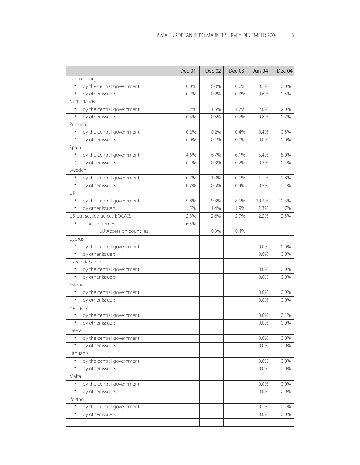|                                        | <b>Dec-01</b> | <b>Dec-02</b> | Dec-03 | <b>Jun-04</b> | Dec-04  |
|----------------------------------------|---------------|---------------|--------|---------------|---------|
| Luxembourg                             |               |               |        |               |         |
| by the central government<br>$\bullet$ | 0.0%          | $0.0\%$       | 0.0%   | 0.1%          | 0.0%    |
| $\bullet$<br>by other issuers          | 0.2%          | 0.2%          | 0.3%   | 0.6%          | 0.5%    |
| Netherlands                            |               |               |        |               |         |
| $\bullet$<br>by the central government | 1.2%          | 1.5%          | 1.7%   | 2.0%          | 2.0%    |
| $\bullet$<br>by other issuers          | 0.3%          | 0.5%          | 0.7%   | 0.8%          | 0.7%    |
| Portugal                               |               |               |        |               |         |
| by the central government              | 0.2%          | 0.2%          | 0.4%   | 0.4%          | 0.5%    |
| by other issuers<br>$\bullet$          | 0.0%          | 0.1%          | 0.0%   | 0.0%          | 0.0%    |
| Spain                                  |               |               |        |               |         |
| $\bullet$<br>by the central government | 4.6%          | 6.7%          | 6.1%   | 5.4%          | 5.0%    |
| $\bullet$<br>by other issuers          | 0.4%          | 0.3%          | 0.2%   | 0.2%          | 0.4%    |
| Sweden                                 |               |               |        |               |         |
| $\bullet$<br>by the central government | 0.7%          | 1.0%          | 0.9%   | 1.1%          | 1.8%    |
| $\bullet$<br>by other issuers          | 0.2%          | 0.5%          | 0.4%   | 0.5%          | 0.4%    |
| UK                                     |               |               |        |               |         |
| by the central government<br>$\bullet$ | 9.8%          | 9.3%          | 8.9%   | 10.3%         | 10.3%   |
| $\bullet$<br>by other issuers          | 1.5%          | 1.4%          | 1.9%   | 1.3%          | 1.7%    |
| US but settled across EOC/CS           | 2.3%          | 2.6%          | 2.9%   | 2.2%          | 2.5%    |
| other countries                        | 6.5%          |               |        |               |         |
| EU Accession countries                 |               | 0.3%          | 0.4%   |               |         |
| Cyprus                                 |               |               |        |               |         |
| $\bullet$<br>by the central government |               |               |        | 0.0%          | 0.0%    |
| by other issuers<br>$\bullet$          |               |               |        | 0.0%          | 0.0%    |
| Czech Republic                         |               |               |        |               |         |
| by the central government<br>$\bullet$ |               |               |        | 0.0%          | 0.0%    |
| by other issuers<br>$\bullet$          |               |               |        | 0.0%          | 0.0%    |
| Estonia                                |               |               |        |               |         |
| by the central government<br>$\bullet$ |               |               |        | 0.0%          | 0.0%    |
| by other issuers<br>$\bullet$          |               |               |        | 0.0%          | 0.0%    |
| Hungary                                |               |               |        |               |         |
| by the central government              |               |               |        | 0.0%          | 0.1%    |
| by other issuers                       |               |               |        | 0.0%          | 0.0%    |
| Latvia                                 |               |               |        |               |         |
| $\bullet$<br>by the central government |               |               |        | 0.0%          | $0.0\%$ |
| by other issuers<br>$\bullet$          |               |               |        | 0.0%          | 0.0%    |
| Lithuania                              |               |               |        |               |         |
| by the central government              |               |               |        | 0.0%          | 0.0%    |
| by other issuers<br>$\bullet$          |               |               |        | 0.0%          | 0.0%    |
| Malta                                  |               |               |        |               |         |
| $\bullet$<br>by the central government |               |               |        | 0.0%          | 0.0%    |
| by other issuers<br>$\bullet$          |               |               |        | 0.0%          | 0.0%    |
| Poland                                 |               |               |        |               |         |
| $\bullet$<br>by the central government |               |               |        | 0.1%          | 0.1%    |
| by other issuers                       |               |               |        | $0.0\%$       | 0.0%    |
|                                        |               |               |        |               |         |
|                                        |               |               |        |               |         |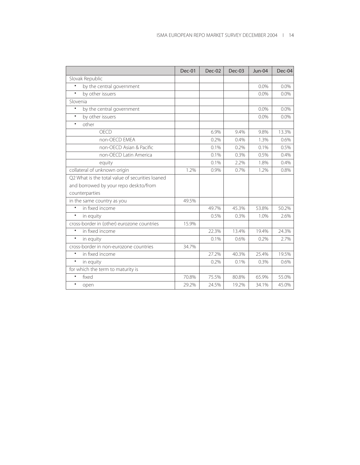|                                                 | Dec-01 | Dec-02 | Dec-03 | Jun-04 | Dec-04  |
|-------------------------------------------------|--------|--------|--------|--------|---------|
| Slovak Republic                                 |        |        |        |        |         |
| $\bullet$<br>by the central government          |        |        |        | 0.0%   | 0.0%    |
| by other issuers<br>$\bullet$                   |        |        |        | 0.0%   | 0.0%    |
| Slovenia                                        |        |        |        |        |         |
| by the central government<br>٠                  |        |        |        | 0.0%   | 0.0%    |
| by other issuers<br>$\bullet$                   |        |        |        | 0.0%   | $0.0\%$ |
| other<br>$\bullet$                              |        |        |        |        |         |
| OECD                                            |        | 6.9%   | 9.4%   | 9.8%   | 13.3%   |
| non-OECD EMEA                                   |        | 0.2%   | 0.4%   | 1.3%   | 0.6%    |
| non-OECD Asian & Pacific                        |        | 0.1%   | 0.2%   | 0.1%   | 0.5%    |
| non-OECD Latin America                          |        | 0.1%   | 0.3%   | 0.5%   | 0.4%    |
| equity                                          |        | 0.1%   | 2.2%   | 1.8%   | 0.4%    |
| collateral of unknown origin                    | 1.2%   | 0.9%   | 0.7%   | 1.2%   | 0.8%    |
| Q2 What is the total value of securities loaned |        |        |        |        |         |
| and borrowed by your repo desk:to/from          |        |        |        |        |         |
| counterparties                                  |        |        |        |        |         |
| in the same country as you                      | 49.5%  |        |        |        |         |
| in fixed income<br>$\bullet$                    |        | 49.7%  | 45.3%  | 53.8%  | 50.2%   |
| ٠<br>in equity                                  |        | 0.5%   | 0.3%   | 1.0%   | 2.6%    |
| cross-border in (other) eurozone countries      | 15.9%  |        |        |        |         |
| in fixed income<br>$\bullet$                    |        | 22.3%  | 13.4%  | 19.4%  | 24.3%   |
| $\bullet$<br>in equity                          |        | 0.1%   | 0.6%   | 0.2%   | 2.7%    |
| cross-border in non-eurozone countries          | 34.7%  |        |        |        |         |
| in fixed income<br>٠                            |        | 27.2%  | 40.3%  | 25.4%  | 19.5%   |
| ٠<br>in equity                                  |        | 0.2%   | 0.1%   | 0.3%   | 0.6%    |
| for which the term to maturity is               |        |        |        |        |         |
| fixed<br>$\bullet$                              | 70.8%  | 75.5%  | 80.8%  | 65.9%  | 55.0%   |
| $\bullet$<br>open                               | 29.2%  | 24.5%  | 19.2%  | 34.1%  | 45.0%   |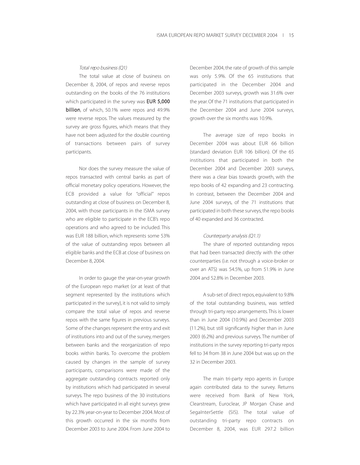#### Total repo business (Q1)

The total value at close of business on December 8, 2004, of repos and reverse repos outstanding on the books of the 76 institutions which participated in the survey was **EUR 5,000** billion, of which, 50.1% were repos and 49.9% were reverse repos. The values measured by the survey are gross figures, which means that they have not been adjusted for the double counting of transactions between pairs of survey participants.

Nor does the survey measure the value of repos transacted with central banks as part of official monetary policy operations. However, the ECB provided a value for "official" repos outstanding at close of business on December 8, 2004, with those participants in the ISMA survey who are eligible to participate in the ECB's repo operations and who agreed to be included. This was EUR 188 billion, which represents some 53% of the value of outstanding repos between all eligible banks and the ECB at close of business on December 8, 2004.

In order to gauge the year-on-year growth of the European repo market (or at least of that segment represented by the institutions which participated in the survey), it is not valid to simply compare the total value of repos and reverse repos with the same figures in previous surveys. Some of the changes represent the entry and exit of institutions into and out of the survey, mergers between banks and the reorganization of repo books within banks. To overcome the problem caused by changes in the sample of survey participants, comparisons were made of the aggregate outstanding contracts reported only by institutions which had participated in several surveys. The repo business of the 30 institutions which have participated in all eight surveys grew by 22.3% year-on-year to December 2004. Most of this growth occurred in the six months from December 2003 to June 2004. From June 2004 to December 2004, the rate of growth of this sample was only 5.9%. Of the 65 institutions that participated in the December 2004 and December 2003 surveys, growth was 31.6% over the year. Of the 71 institutions that participated in the December 2004 and June 2004 surveys, growth over the six months was 10.9%.

The average size of repo books in December 2004 was about EUR 66 billion (standard deviation EUR 106 billion). Of the 65 institutions that participated in both the December 2004 and December 2003 surveys, there was a clear bias towards growth, with the repo books of 42 expanding and 23 contracting. In contrast, between the December 2004 and June 2004 surveys, of the 71 institutions that participated in both these surveys, the repo books of 40 expanded and 36 contracted.

#### Counterparty analysis (Q1.1)

The share of reported outstanding repos that had been transacted directly with the other counterparties (i.e. not through a voice-broker or over an ATS) was 54.5%, up from 51.9% in June 2004 and 52.8% in December 2003.

A sub-set of direct repos, equivalent to 9.8% of the total outstanding business, was settled through tri-party repo arrangements.This is lower than in June 2004 (10.9%) and December 2003 (11.2%), but still significantly higher than in June 2003 (6.2%) and previous surveys. The number of institutions in the survey reporting tri-party repos fell to 34 from 38 in June 2004 but was up on the 32 in December 2003.

The main tri-party repo agents in Europe again contributed data to the survey. Returns were received from Bank of New York, Clearstream, Euroclear, JP Morgan Chase and SegaInterSettle (SIS). The total value of outstanding tri-party repo contracts on December 8, 2004, was EUR 297.2 billion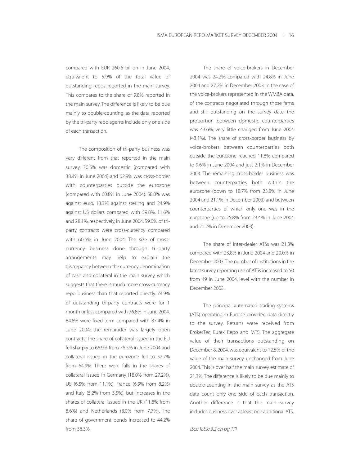compared with EUR 260.6 billion in June 2004, equivalent to 5.9% of the total value of outstanding repos reported in the main survey. This compares to the share of 9.8% reported in the main survey. The difference is likely to be due mainly to double-counting, as the data reported by the tri-party repo agents include only one side of each transaction.

The composition of tri-party business was very different from that reported in the main survey. 30.5% was domestic (compared with 38.4% in June 2004) and 62.9% was cross-border with counterparties outside the eurozone (compared with 60.8% in June 2004). 58.0% was against euro, 13.3% against sterling and 24.9% against US dollars compared with 59.8%, 11.6% and 28.1%, respectively, in June 2004. 59.0% of triparty contracts were cross-currency compared with 60.5% in June 2004. The size of crosscurrency business done through tri-party arrangements may help to explain the discrepancy between the currency denomination of cash and collateral in the main survey, which suggests that there is much more cross-currency repo business than that reported directly. 74.9% of outstanding tri-party contracts were for 1 month or less compared with 76.8% in June 2004. 84.8% were fixed-term compared with 87.4% in June 2004: the remainder was largely open contracts. The share of collateral issued in the EU fell sharply to 66.9% from 76.5% in June 2004 and collateral issued in the eurozone fell to 52.7% from 64.9%. There were falls in the shares of collateral issued in Germany (18.0% from 27.2%), US (6.5% from 11.1%), France (6.9% from 8.2%) and Italy (5.2% from 5.5%), but increases in the shares of collateral issued in the UK (11.8% from 8.6%) and Netherlands (8.0% from 7.7%). The share of government bonds increased to 44.2% from 36.3%.

The share of voice-brokers in December 2004 was 24.2% compared with 24.8% in June 2004 and 27.2% in December 2003. In the case of the voice-brokers represented in the WMBA data, of the contracts negotiated through those firms and still outstanding on the survey date, the proportion between domestic counterparties was 43.6%, very little changed from June 2004 (43.1%). The share of cross-border business by voice-brokers between counterparties both outside the eurozone reached 11.8% compared to 9.6% in June 2004 and just 2.1% in December 2003. The remaining cross-border business was between counterparties both within the eurozone (down to 18.7% from 23.8% in June 2004 and 21.1% in December 2003) and between counterparties of which only one was in the eurozone (up to 25.8% from 23.4% in June 2004 and 21.2% in December 2003).

The share of inter-dealer ATSs was 21.3% compared with 23.8% in June 2004 and 20.0% in December 2003.The number of institutions in the latest survey reporting use of ATSs increased to 50 from 49 in June 2004, level with the number in December 2003.

The principal automated trading systems (ATS) operating in Europe provided data directly to the survey. Returns were received from BrokerTec, Eurex Repo and MTS. The aggregate value of their transactions outstanding on December 8, 2004, was equivalent to 12.5% of the value of the main survey, unchanged from June 2004. This is over half the main survey estimate of 21.3%. The difference is likely to be due mainly to double-counting in the main survey as the ATS data count only one side of each transaction. Another difference is that the main survey includes business over at least one additional ATS.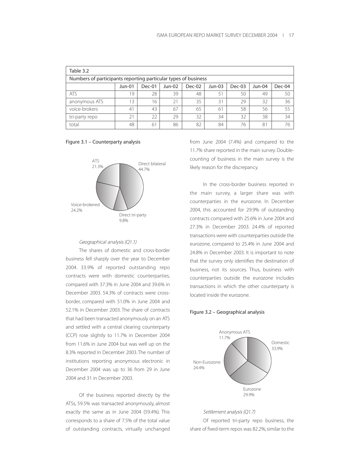| Table 3.2                                                          |    |    |    |    |                |    |        |    |  |  |
|--------------------------------------------------------------------|----|----|----|----|----------------|----|--------|----|--|--|
| Numbers of participants reporting particular types of business     |    |    |    |    |                |    |        |    |  |  |
| Dec-01<br>Dec-02<br>Dec-03<br>Jun-01<br>Jun-02<br>Jun-03<br>Jun-04 |    |    |    |    |                |    | Dec-04 |    |  |  |
| <b>ATS</b>                                                         | 19 | 28 | 39 | 48 | 51             | 50 | 49     | 50 |  |  |
| anonymous ATS                                                      | 13 | 16 | 21 | 35 | 31             | 29 | 32     | 36 |  |  |
| voice-brokers                                                      | 41 | 43 | 67 | 65 | 6 <sup>1</sup> | 58 | 56     | 55 |  |  |
| tri-party repo                                                     | 21 | 22 | 29 | 32 | 34             | 32 | 38     | 34 |  |  |
| total                                                              | 48 | 61 | 86 | 82 | 84             | 76 | 81     | 76 |  |  |

#### Figure 3.1 – Counterparty analysis



#### Geographical analysis (Q1.1)

The shares of domestic and cross-border business fell sharply over the year to December 2004. 33.9% of reported outstanding repo contracts were with domestic counterparties, compared with 37.3% in June 2004 and 39.6% in December 2003. 54.3% of contracts were crossborder, compared with 51.0% in June 2004 and 52.1% in December 2003. The share of contracts that had been transacted anonymously on an ATS and settled with a central clearing counterparty (CCP) rose slightly to 11.7% in December 2004 from 11.6% in June 2004 but was well up on the 8.3% reported in December 2003. The number of institutions reporting anonymous electronic in December 2004 was up to 36 from 29 in June 2004 and 31 in December 2003.

Of the business reported directly by the ATSs, 59.5% was transacted anonymously, almost exactly the same as in June 2004 (59.4%). This corresponds to a share of 7.5% of the total value of outstanding contracts, virtually unchanged

from June 2004 (7.4%) and compared to the 11.7% share reported in the main survey. Doublecounting of business in the main survey is the likely reason for the discrepancy.

In the cross-border business reported in the main survey, a larger share was with counterparties in the eurozone. In December 2004, this accounted for 29.9% of outstanding contracts compared with 25.6% in June 2004 and 27.3% in December 2003. 24.4% of reported transactions were with counterparties outside the eurozone, compared to 25.4% in June 2004 and 24.8% in December 2003. It is important to note that the survey only identifies the destination of business, not its sources. Thus, business with counterparties outside the eurozone includes transactions in which the other counterparty is located inside the eurozone.

#### Figure 3.2 – Geographical analysis



#### Settlement analysis (Q1.7)

Of reported tri-party repo business, the share of fixed-term repos was 82.2%, similar to the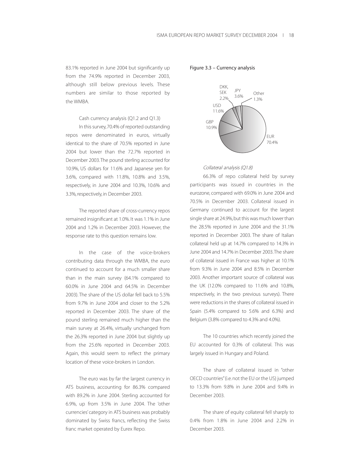83.1% reported in June 2004 but significantly up from the 74.9% reported in December 2003, although still below previous levels. These numbers are similar to those reported by the WMBA.

#### Cash currency analysis (Q1.2 and Q1.3)

In this survey,70.4% of reported outstanding repos were denominated in euros, virtually identical to the share of 70.5% reported in June 2004 but lower than the 72.7% reported in December 2003.The pound sterling accounted for 10.9%, US dollars for 11.6% and Japanese yen for 3.6%, compared with 11.8%, 10.8% and 3.5%, respectively, in June 2004 and 10.3%, 10.6% and 3.3%, respectively, in December 2003.

The reported share of cross-currency repos remained insignificant at 1.0%. It was 1.1% in June 2004 and 1.2% in December 2003. However, the response rate to this question remains low.

In the case of the voice-brokers contributing data through the WMBA, the euro continued to account for a much smaller share than in the main survey (64.1% compared to 60.0% in June 2004 and 64.5% in December 2003). The share of the US dollar fell back to 5.5% from 9.7% in June 2004 and closer to the 5.2% reported in December 2003. The share of the pound sterling remained much higher than the main survey at 26.4%, virtually unchanged from the 26.3% reported in June 2004 but slightly up from the 25.6% reported in December 2003. Again, this would seem to reflect the primary location of these voice-brokers in London.

The euro was by far the largest currency in ATS business, accounting for 86.3% compared with 89.2% in June 2004. Sterling accounted for 6.9%, up from 3.5% in June 2004. The 'other currencies' category in ATS business was probably dominated by Swiss francs, reflecting the Swiss franc market operated by Eurex Repo.

Figure 3.3 – Currency analysis



#### Collateral analysis (Q1.8)

66.3% of repo collateral held by survey participants was issued in countries in the eurozone, compared with 69.0% in June 2004 and 70.5% in December 2003. Collateral issued in Germany continued to account for the largest single share at 24.9%, but this was much lower than the 28.5% reported in June 2004 and the 31.1% reported in December 2003. The share of Italian collateral held up at 14.7% compared to 14.3% in June 2004 and 14.7% in December 2003.The share of collateral issued in France was higher at 10.1% from 9.3% in June 2004 and 8.5% in December 2003. Another important source of collateral was the UK (12.0% compared to 11.6% and 10.8%, respectively, in the two previous surveys). There were reductions in the shares of collateral issued in Spain (5.4% compared to 5.6% and 6.3%) and Belgium (3.8% compared to 4.3% and 4.0%).

The 10 countries which recently joined the EU accounted for 0.3% of collateral. This was largely issued in Hungary and Poland.

The share of collateral issued in "other OECD countries"(i.e. not the EU or the US) jumped to 13.3% from 9.8% in June 2004 and 9.4% in December 2003.

The share of equity collateral fell sharply to 0.4% from 1.8% in June 2004 and 2.2% in December 2003.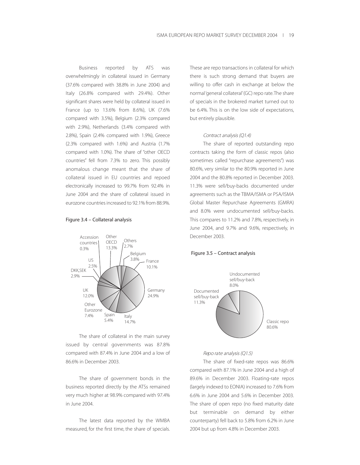Business reported by ATS was overwhelmingly in collateral issued in Germany (37.6% compared with 38.8% in June 2004) and Italy (26.8% compared with 29.4%). Other significant shares were held by collateral issued in France (up to 13.6% from 8.6%), UK (7.6% compared with 3.5%), Belgium (2.3% compared with 2.9%), Netherlands (3.4% compared with 2.8%), Spain (2.4% compared with 1.9%), Greece (2.3% compared with 1.6%) and Austria (1.7% compared with 1.0%). The share of "other OECD countries" fell from 7.3% to zero. This possibly anomalous change meant that the share of collateral issued in EU countries and repoed electronically increased to 99.7% from 92.4% in June 2004 and the share of collateral issued in eurozone countries increased to 92.1% from 88.9%.

#### Figure 3.4 – Collateral analysis



The share of collateral in the main survey issued by central governments was 87.8% compared with 87.4% in June 2004 and a low of 86.6% in December 2003.

The share of government bonds in the business reported directly by the ATSs remained very much higher at 98.9% compared with 97.4% in June 2004.

The latest data reported by the WMBA measured, for the first time, the share of specials.

These are repo transactions in collateral for which there is such strong demand that buyers are willing to offer cash in exchange at below the normal 'general collateral'(GC) repo rate.The share of specials in the brokered market turned out to be 6.4%. This is on the low side of expectations, but entirely plausible.

#### Contract analysis (Q1.4)

The share of reported outstanding repo contracts taking the form of classic repos (also sometimes called "repurchase agreements") was 80.6%, very similar to the 80.9% reported in June 2004 and the 80.8% reported in December 2003. 11.3% were sell/buy-backs documented under agreements such as the TBMA/ISMA or PSA/ISMA Global Master Repurchase Agreements (GMRA) and 8.0% were undocumented sell/buy-backs. This compares to 11.2% and 7.8%, respectively, in June 2004, and 9.7% and 9.6%, respectively, in December 2003.

#### Figure 3.5 – Contract analysis



#### Repo rate analysis (Q1.5)

The share of fixed-rate repos was 86.6% compared with 87.1% in June 2004 and a high of 89.6% in December 2003. Floating-rate repos (largely indexed to EONIA) increased to 7.6% from 6.6% in June 2004 and 5.6% in December 2003. The share of open repo (no fixed maturity date but terminable on demand by either counterparty) fell back to 5.8% from 6.2% in June 2004 but up from 4.8% in December 2003.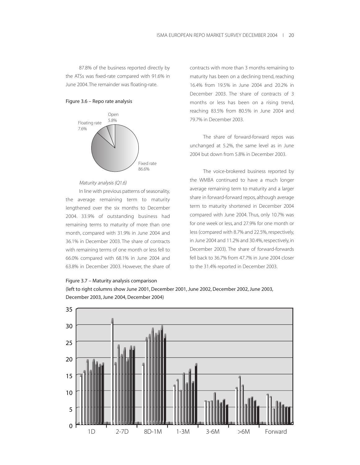87.8% of the business reported directly by the ATSs was fixed-rate compared with 91.6% in June 2004. The remainder was floating-rate.

#### Figure 3.6 – Repo rate analysis



#### Maturity analysis (Q1.6)

In line with previous patterns of seasonality, the average remaining term to maturity lengthened over the six months to December 2004. 33.9% of outstanding business had remaining terms to maturity of more than one month, compared with 31.9% in June 2004 and 36.1% in December 2003. The share of contracts with remaining terms of one month or less fell to 66.0% compared with 68.1% in June 2004 and 63.8% in December 2003. However, the share of



contracts with more than 3 months remaining to maturity has been on a declining trend, reaching 16.4% from 19.5% in June 2004 and 20.2% in December 2003. The share of contracts of 3 months or less has been on a rising trend, reaching 83.5% from 80.5% in June 2004 and 79.7% in December 2003.

The share of forward-forward repos was unchanged at 5.2%, the same level as in June 2004 but down from 5.8% in December 2003.

The voice-brokered business reported by the WMBA continued to have a much longer average remaining term to maturity and a larger share in forward-forward repos, although average term to maturity shortened in December 2004 compared with June 2004. Thus, only 10.7% was for one week or less, and 27.9% for one month or less (compared with 8.7% and 22.5%, respectively, in June 2004 and 11.2% and 30.4%, respectively, in December 2003). The share of forward-forwards fell back to 36.7% from 47.7% in June 2004 closer to the 31.4% reported in December 2003.

(left to right columns show June 2001, December 2001, June 2002, December 2002, June 2003, December 2003, June 2004, December 2004)

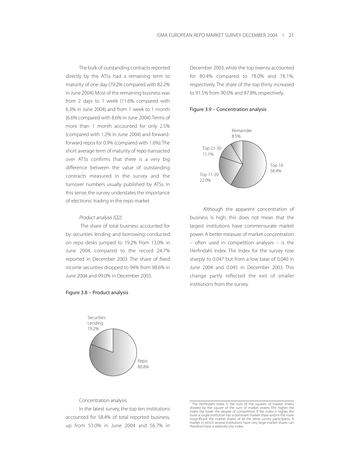The bulk of outstanding contracts reported directly by the ATSs had a remaining term to maturity of one day (79.2% compared with 82.2% in June 2004). Most of the remaining business was from 2 days to 1 week (11.6% compared with 6.3% in June 2004) and from 1 week to 1 month (6.6% compared with 8.6% in June 2004).Terms of more than 1 month accounted for only 2.5% (compared with 1.2% in June 2004) and forwardforward repos for 0.9% (compared with 1.6%).The short average term of maturity of repo transacted over ATSs confirms that there is a very big difference between the value of outstanding contracts measured in the survey and the turnover numbers usually published by ATSs. In this sense, the survey understates the importance of electronic trading in the repo market.

#### Product analysis (Q2)

The share of total business accounted for by securities lending and borrowing conducted on repo desks jumped to 19.2% from 13.0% in June 2004, compared to the record 24.7% reported in December 2003. The share of fixed income securities dropped to 94% from 98.6% in June 2004 and 99.0% in December 2003.

December 2003, while the top twenty accounted for 80.4% compared to 78.0% and 78.1%, respectively. The share of the top thirty increased to 91.5% from 90.0% and 87.8%, respectively.





Although the apparent concentration of business is high, this does not mean that the largest institutions have commensurate market power. A better measure of market concentration – often used in competition analyses – is the Herfindahl Index. The Index for the survey rose sharply to 0.047 but from a low base of 0.040 in June 2004 and 0.045 in December 2003. This change partly reflected the exit of smaller institutions from the survey.



Figure 3.8 – Product analysis

Concentration analysis

In the latest survey, the top ten institutions accounted for 58.4% of total reported business, up from 53.0% in June 2004 and 56.7% in

<sup>&</sup>lt;sup>1</sup> The Herfindahl Index is the sum of the squares of market shares divided by the square of the sum of market shares ividex, the lower the degree of competition. If the index, the lower the degree of competition. If the i insignificant the market shares of all the other survey participants. A market in which several institutions have very large market shares can therefore have a relatively low index.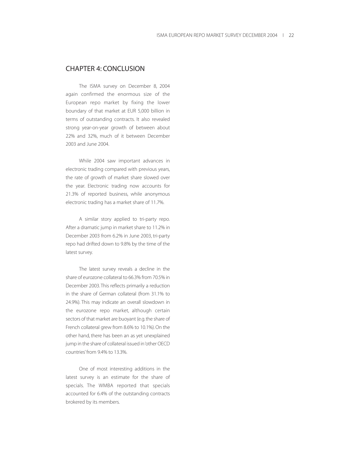## CHAPTER 4: CONCLUSION

The ISMA survey on December 8, 2004 again confirmed the enormous size of the European repo market by fixing the lower boundary of that market at EUR 5,000 billion in terms of outstanding contracts. It also revealed strong year-on-year growth of between about 22% and 32%, much of it between December 2003 and June 2004.

While 2004 saw important advances in electronic trading compared with previous years, the rate of growth of market share slowed over the year. Electronic trading now accounts for 21.3% of reported business, while anonymous electronic trading has a market share of 11.7%.

A similar story applied to tri-party repo. After a dramatic jump in market share to 11.2% in December 2003 from 6.2% in June 2003, tri-party repo had drifted down to 9.8% by the time of the latest survey.

The latest survey reveals a decline in the share of eurozone collateral to 66.3% from 70.5% in December 2003. This reflects primarily a reduction in the share of German collateral (from 31.1% to 24.9%). This may indicate an overall slowdown in the eurozone repo market, although certain sectors of that market are buoyant (e.g.the share of French collateral grew from 8.6% to 10.1%). On the other hand, there has been an as yet unexplained jump in the share of collateral issued in 'other OECD countries' from 9.4% to 13.3%.

One of most interesting additions in the latest survey is an estimate for the share of specials. The WMBA reported that specials accounted for 6.4% of the outstanding contracts brokered by its members.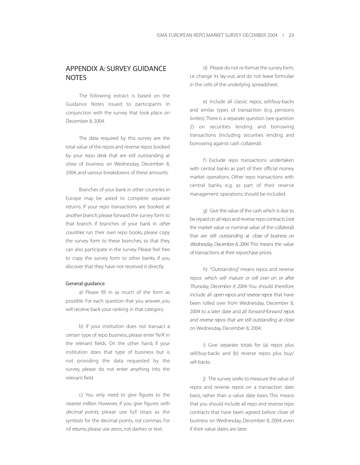## APPENDIX A: SURVEY GUIDANCE **NOTES**

The following extract is based on the Guidance Notes issued to participants in conjunction with the survey that took place on December 8, 2004.

The data required by this survey are: the total value of the repos and reverse repos booked by your repo desk that are still outstanding at close of business on Wednesday, December 8, 2004, and various breakdowns of these amounts.

Branches of your bank in other countries in Europe may be asked to complete separate returns. If your repo transactions are booked at another branch, please forward the survey form to that branch. If branches of your bank in other countries run their own repo books, please copy the survey form to these branches, so that they can also participate in the survey. Please feel free to copy the survey form to other banks, if you discover that they have not received it directly.

#### General guidance

a) Please fill in as much of the form as possible. For each question that you answer, you will receive back your ranking in that category.

b) If your institution does not transact a certain type of repo business, please enter 'N/A' in the relevant fields. On the other hand, if your institution does that type of business but is not providing the data requested by the survey, please do not enter anything into the relevant field.

c) You only need to give figures to the nearest million. However, if you give figures with decimal points, please use full stops as the symbols for the decimal points, not commas. For nil returns, please use zeros, not dashes or text.

d) Please do not re-format the survey form, i.e. change its lay-out, and do not leave formulae in the cells of the underlying spreadsheet.

e) Include all classic repos, sell/buy-backs and similar types of transaction (e.g. pensions livrées).There is a separate question (see question 2) on securities lending and borrowing transactions (including securities lending and borrowing against cash collateral).

f) Exclude repo transactions undertaken with central banks as part of their official money market operations. Other repo transactions with central banks, e.g. as part of their reserve management operations, should be included.

g) Give the value of the cash which is due to be repaid on all repo and reverse repo contracts (not the market value or nominal value of the collateral) that are still outstanding at close of business on Wednesday, December 8, 2004. This means the value of transactions at their repurchase prices.

h) "Outstanding" means repos and reverse repos which will mature or roll over on or after Thursday, December 9, <sup>2004</sup>. You should therefore include all open repos and reverse repos that have been rolled over from Wednesday, December 8, 2004 to a later date and all forward-forward repos and reverse repos that are still outstanding at close on Wednesday, December 8, 2004.

i) Give separate totals for (a) repos plus sell/buy-backs and (b) reverse repos plus buy/ sell-backs.

j) The survey seeks to measure the value of repos and reverse repos on a transaction date basis, rather than a value date basis. This means that you should include all repo and reverse repo contracts that have been agreed before close of business on Wednesday, December 8, 2004, even if their value dates are later.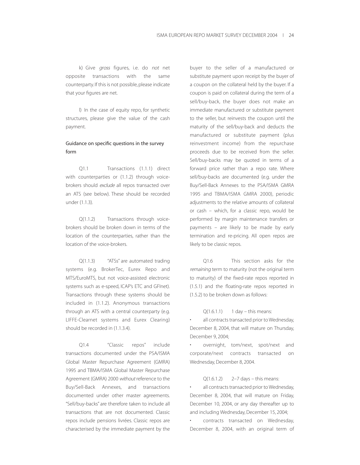k) Give gross figures, i.e. do not net opposite transactions with the same counterparty. If this is not possible, please indicate that your figures are net.

l) In the case of equity repo, for synthetic structures, please give the value of the cash payment.

### Guidance on specific questions in the survey form

Q1.1 Transactions (1.1.1) direct with counterparties or (1.1.2) through voicebrokers should exclude all repos transacted over an ATS (see below). These should be recorded under (1.1.3).

Q(1.1.2) Transactions through voicebrokers should be broken down in terms of the location of the counterparties, rather than the location of the voice-brokers.

Q(1.1.3) "ATSs" are automated trading systems (e.g. BrokerTec, Eurex Repo and MTS/EuroMTS, but not voice-assisted electronic systems such as e-speed, ICAP's ETC and GFInet). Transactions through these systems should be included in (1.1.2). Anonymous transactions through an ATS with a central counterparty (e.g. LIFFE-Clearnet systems and Eurex Clearing) should be recorded in (1.1.3.4).

Q1.4 "Classic repos" include transactions documented under the PSA/ISMA Global Master Repurchase Agreement (GMRA) 1995 and TBMA/ISMA Global Master Repurchase Agreement (GMRA) 2000 without reference to the Buy/Sell-Back Annexes, and transactions documented under other master agreements. "Sell/buy-backs" are therefore taken to include all transactions that are not documented. Classic repos include pensions livrées. Classic repos are characterised by the immediate payment by the

buyer to the seller of a manufactured or substitute payment upon receipt by the buyer of a coupon on the collateral held by the buyer. If a coupon is paid on collateral during the term of a sell/buy-back, the buyer does not make an immediate manufactured or substitute payment to the seller, but reinvests the coupon until the maturity of the sell/buy-back and deducts the manufactured or substitute payment (plus reinvestment income) from the repurchase proceeds due to be received from the seller. Sell/buy-backs may be quoted in terms of a forward price rather than a repo rate. Where sell/buy-backs are documented (e.g. under the Buy/Sell-Back Annexes to the PSA/ISMA GMRA 1995 and TBMA/ISMA GMRA 2000), periodic adjustments to the relative amounts of collateral or cash – which, for a classic repo, would be performed by margin maintenance transfers or payments – are likely to be made by early termination and re-pricing. All open repos are likely to be classic repos.

Q1.6 This section asks for the remaining term to maturity (not the original term to maturity) of the fixed-rate repos reported in (1.5.1) and the floating-rate repos reported in (1.5.2) to be broken down as follows:

#### $Q(1.6.1.1)$  1 day – this means:

all contracts transacted prior to Wednesday, December 8, 2004, that will mature on Thursday, December 9, 2004;

overnight, tom/next, spot/next and corporate/next contracts transacted on Wednesday, December 8, 2004.

#### $Q(1.6.1.2)$  2–7 days – this means:

all contracts transacted prior to Wednesday, December 8, 2004, that will mature on Friday, December 10, 2004, or any day thereafter up to and including Wednesday, December 15, 2004;

• contracts transacted on Wednesday, December 8, 2004, with an original term of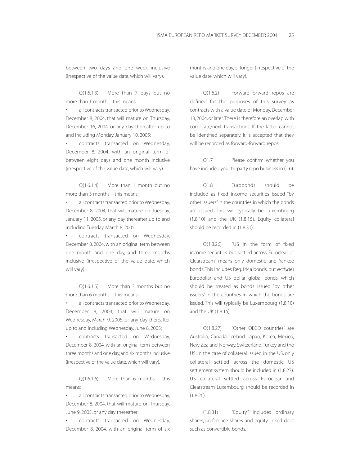between two days and one week inclusive (irrespective of the value date, which will vary).

Q(1.6.1.3) More than 7 days but no more than 1 month – this means:

• all contracts transacted prior to Wednesday, December 8, 2004, that will mature on Thursday, December 16, 2004, or any day thereafter up to and including Monday, January 10, 2005;

contracts transacted on Wednesday, December 8, 2004, with an original term of between eight days and one month inclusive (irrespective of the value date, which will vary).

Q(1.6.1.4) More than 1 month but no more than 3 months – this means:

all contracts transacted prior to Wednesday, December 8, 2004, that will mature on Tuesday, January 11, 2005, or any day thereafter up to and including Tuesday, March 8, 2005;

• contracts transacted on Wednesday, December 8, 2004, with an original term between one month and one day, and three months inclusive (irrespective of the value date, which will vary).

Q(1.6.1.5) More than 3 months but no more than 6 months – this means:

• all contracts transacted prior to Wednesday, December 8, 2004, that will mature on Wednesday, March 9, 2005, or any day thereafter up to and including Wednesday, June 8, 2005;

• contracts transacted on Wednesday, December 8, 2004, with an original term between three months and one day,and six months inclusive (irrespective of the value date, which will vary).

 $Q(1.6.1.6)$  More than 6 months – this means;

• all contracts transacted prior to Wednesday, December 8, 2004, that will mature on Thursday, June 9, 2005, or any day thereafter;

• contracts transacted on Wednesday, December 8, 2004, with an original term of six months and one day, or longer (irrespective of the value date, which will vary).

Q(1.6.2) Forward-forward repos are defined for the purposes of this survey as contracts with a value date of Monday, December 13, 2004, or later.There is therefore an overlap with corporate/next transactions. If the latter cannot be identified separately, it is accepted that they will be recorded as forward-forward repos.

Q1.7 Please confirm whether you have included your tri-party repo business in (1.6).

Q1.8 Eurobonds should be included as fixed income securities issued "by other issuers" in the countries in which the bonds are issued. This will typically be Luxembourg (1.8.10) and the UK (1.8.15). Equity collateral should be recorded in (1.8.31).

Q(1.8.26) "US in the form of fixed income securities but settled across Euroclear or Clearstream" means only domestic and Yankee bonds.This includes Reg.144a bonds, but excludes Eurodollar and US dollar global bonds, which should be treated as bonds issued "by other issuers" in the countries in which the bonds are issued. This will typically be Luxembourg (1.8.10) and the UK (1.8.15).

Q(1.8.27) "Other OECD countries" are Australia, Canada, Iceland, Japan, Korea, Mexico, New Zealand, Norway, Switzerland,Turkey and the US. In the case of collateral issued in the US, only collateral settled across the domestic US settlement system should be included in (1.8.27). US collateral settled across Euroclear and Clearstream Luxembourg should be recorded in (1.8.26).

(1.8.31) "Equity" includes ordinary shares, preference shares and equity-linked debt such as convertible bonds.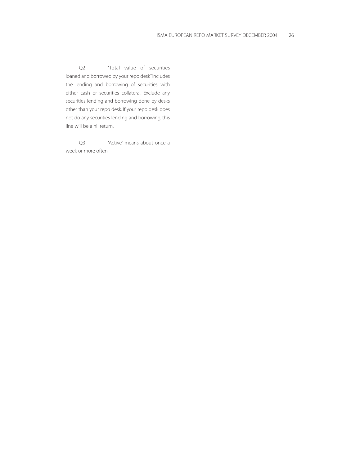Q2 "Total value of securities loaned and borrowed by your repo desk"includes the lending and borrowing of securities with either cash or securities collateral. Exclude any securities lending and borrowing done by desks other than your repo desk. If your repo desk does not do any securities lending and borrowing, this line will be a nil return.

Q3 "Active" means about once a week or more often.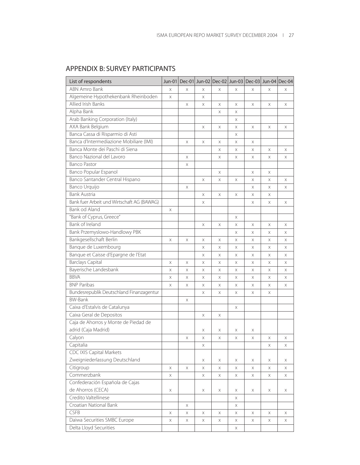| List of respondents                        | Jun-01 |   |   |   |   | Dec-01 Jun-02 Dec-02 Jun-03 Dec-03 Jun-04 Dec-04 |   |   |
|--------------------------------------------|--------|---|---|---|---|--------------------------------------------------|---|---|
| <b>ABN Amro Bank</b>                       | Χ      | Χ | X | Χ | X | X                                                | Χ | X |
| Algemeine Hypothekenbank Rheinboden        | X      |   | X |   |   |                                                  |   |   |
| Allied Irish Banks                         |        | X | X | Χ | X | Χ                                                | X | X |
| Alpha Bank                                 |        |   |   | X | X |                                                  |   |   |
| Arab Banking Corporation (Italy)           |        |   |   |   | X |                                                  |   |   |
| AXA Bank Belgium                           |        |   | X | X | X | X                                                | X | Χ |
| Banca Cassa di Risparmio di Asti           |        |   |   |   | X |                                                  |   |   |
| Banca d'Intermediazione Mobiliare (IMI)    |        | Χ | Χ | X | X | X                                                |   |   |
| Banca Monte dei Paschi di Siena            |        |   |   | X | X | Χ                                                | Χ | Χ |
| Banco Nazional del Lavoro                  |        | X |   | Χ | X | X                                                | Χ | Χ |
| <b>Banco Pastor</b>                        |        | X |   |   |   |                                                  |   |   |
| Banco Popular Espanol                      |        |   |   | X |   | X                                                | Χ |   |
| Banco Santander Central Hispano            |        |   | X | Χ | X | X                                                | Χ | Χ |
| Banco Urquijo                              |        | Χ |   |   |   | X                                                | X | X |
| Bank Austria                               |        |   | X | X | X | X                                                | X |   |
| Bank fuer Arbeit und Wirtschaft AG (BAWAG) |        |   | Χ |   |   | Χ                                                | Χ | Χ |
| Bank od Aland                              | X      |   |   |   |   |                                                  |   |   |
| "Bank of Cyprus, Greece"                   |        |   |   |   | X |                                                  |   |   |
| <b>Bank of Ireland</b>                     |        |   | Χ | X | X | X                                                | Χ | Χ |
| Bank Przemyslowo-Handlowy PBK              |        |   |   |   | X | X                                                | Χ | X |
| Bankgesellschaft Berlin                    | X      | X | X | X | Χ | X                                                | X | X |
| Banque de Luxembourg                       |        |   | X | Χ | Χ | X                                                | X | Χ |
| Banque et Caisse d'Epargne de l'Etat       |        |   | X | Χ | Χ | X                                                | X | Χ |
| <b>Barclays Capital</b>                    | Χ      | Χ | X | X | X | X                                                | Χ | Χ |
| Bayerische Landesbank                      | Χ      | Χ | X | Χ | Χ | X                                                | Χ | Χ |
| <b>BBVA</b>                                | X      | Χ | Χ | X | Χ | X                                                | Χ | Χ |
| <b>BNP Paribas</b>                         | Χ      | X | Χ | X | X | X                                                | Χ | X |
| Bundesrepublik Deutschland Finanzagentur   |        |   | Χ | Χ | X | X                                                | Χ |   |
| <b>BW-Bank</b>                             |        | X |   |   |   |                                                  |   |   |
| Caixa d'Estalvis de Catalunya              |        |   |   |   | Χ |                                                  |   |   |
| Caixa Geral de Depositos                   |        |   | X | X |   |                                                  |   |   |
| Caja de Ahorros y Monte de Piedad de       |        |   |   |   |   |                                                  |   |   |
| adrid (Caja Madrid)                        |        |   | Х | Х | Χ | Х                                                |   |   |
| Calyon                                     |        | Χ | Χ | Χ | Χ | X                                                | X | Χ |
| Capitalia                                  |        |   | X |   |   |                                                  | X | X |
| <b>CDC IXIS Capital Markets</b>            |        |   |   |   |   |                                                  |   |   |
| Zweigniederlassung Deutschland             |        |   | X | X | Χ | Χ                                                | Χ | Χ |
| Citigroup                                  | X      | X | X | Χ | X | X                                                | X | X |
| Commerzbank                                | X      |   | X | X | X | X                                                | X | X |
| Confederación Española de Cajas            |        |   |   |   |   |                                                  |   |   |
| de Ahorros (CECA)                          | X      |   | X | X | Χ | X                                                | Χ | Χ |
| Credito Valtellinese                       |        |   |   |   | X |                                                  |   |   |
| Croatian National Bank                     |        | X |   |   | X |                                                  |   |   |
| <b>CSFB</b>                                | X      | Χ | X | X | Χ | Χ                                                | Χ | Χ |
| Daiwa Securities SMBC Europe               | X      | X | X | Χ | X | Χ                                                | X | X |
| Delta Lloyd Securities                     |        |   |   |   | X |                                                  |   |   |

# APPENDIX B: SURVEY PARTICIPANTS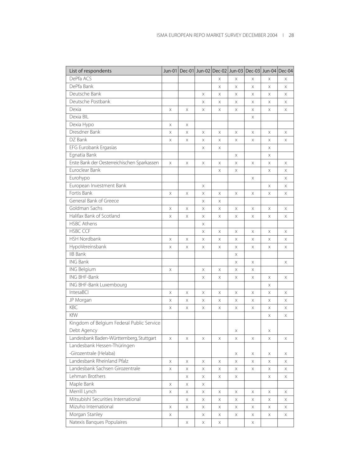| List of respondents                         | $Jun-01$ |          |   | Dec-01 Jun-02 Dec-02 Jun-03 Dec-03 Jun-04 Dec-04 |    |   |   |   |
|---------------------------------------------|----------|----------|---|--------------------------------------------------|----|---|---|---|
| DePfa ACS                                   |          |          |   | X                                                | X  | X | X | Χ |
| DePfa Bank                                  |          |          |   | X                                                | Χ  | X | X | Χ |
| Deutsche Bank                               |          |          | X | Χ                                                | X  | X | X | Χ |
| Deutsche Postbank                           |          |          | X | X                                                | Χ  | X | X | X |
| Dexia                                       | X        | X        | X | X                                                | X  | X | X | X |
| Dexia BIL                                   |          |          |   |                                                  |    | X |   |   |
| Dexia Hypo                                  | X        | X        |   |                                                  |    |   |   |   |
| Dresdner Bank                               | X        | Χ        | X | Χ                                                | Χ  | Χ | Χ | X |
| DZ Bank                                     | X        | X        | X | Χ                                                | X  | X | X | X |
| EFG Eurobank Ergasias                       |          |          | X | Χ                                                |    |   | Χ |   |
| Egnatia Bank                                |          |          |   |                                                  | X  |   | X |   |
| Erste Bank der Oesterreichischen Sparkassen | X        | Χ        | Χ | X                                                | X  | X | X | X |
| Euroclear Bank                              |          |          |   | X                                                | X  |   | X | Χ |
| Eurohypo                                    |          |          |   |                                                  |    | X |   | Χ |
| European Investment Bank                    |          |          | X |                                                  |    |   | X | Χ |
| Fortis Bank                                 | X        | X        | X | X                                                | X  | X | X | X |
| General Bank of Greece                      |          |          | X | X                                                |    |   |   |   |
| Goldman Sachs                               | X        | X        | X | X                                                | X  | X | X | X |
| Halifax Bank of Scotland                    | X        | X        | X | X                                                | X  | X | X | Χ |
| <b>HSBC Athens</b>                          |          |          | X |                                                  |    |   |   |   |
| <b>HSBC CCF</b>                             |          |          | X | X                                                | X  | X | X | X |
| <b>HSH Nordbank</b>                         | X        | X        | X | Χ                                                | X  | X | X | X |
| HypoVereinsbank                             | X        | X        | X | X                                                | X  | X | X | X |
| <b>IIB Bank</b>                             |          |          |   |                                                  | X  |   |   |   |
| <b>ING Bank</b>                             |          |          |   |                                                  | X  | X |   | Χ |
| ING Belgium                                 | X        |          | Χ | X                                                | Χ  | X |   |   |
| ING BHF-Bank                                |          |          | Χ | Χ                                                | X  | Χ | X | X |
| ING BHF-Bank Luxembourg                     |          |          |   |                                                  |    |   | X |   |
| IntesaBCI                                   | X        | X        | X | X                                                | X  | X | X | X |
| JP Morgan                                   | X        | X        | X | X                                                | X  | X | X | X |
| KBC                                         | X        | X        | Χ | Χ                                                | Χ  | Χ | Χ | Χ |
| KfW                                         |          |          |   |                                                  |    |   | Χ | Χ |
| Kingdom of Belgium Federal Public Service   |          |          |   |                                                  |    |   |   |   |
| Debt Agency                                 |          |          |   |                                                  | X  |   | X |   |
| Landesbank Baden-Württemberg, Stuttgart     | $\times$ | X        | X | X                                                | X  | X | X | X |
| Landesbank Hessen-Thüringen                 |          |          |   |                                                  |    |   |   |   |
| -Girozentrale (Helaba)                      |          |          |   |                                                  | Χ  | X | Χ | X |
| Landesbank Rheinland Pfalz                  | Χ        | X        | X | X                                                | Χ  | X | X | Χ |
| Landesbank Sachsen Girozentrale             | Χ        | X        | Χ | Χ                                                | X  | Χ | X | Χ |
| Lehman Brothers                             |          | $\times$ | X | X                                                | X. |   | X | X |
| Maple Bank                                  | X        | X        | X |                                                  |    |   |   |   |
| Merrill Lynch                               | X        | X        | Χ | Χ                                                | Χ  | Χ | Χ | Χ |
| Mitsubishi Securities International         |          | X        | X | X                                                | X  | X | X | Χ |
| Mizuho International                        | Χ        | X        | X | Χ                                                | X  | Χ | Χ | Χ |
| Morgan Stanley                              | X        |          | X | X                                                | X  | Χ | X | Χ |
| Natexis Banques Populaires                  |          | X        | X | X                                                |    | X |   |   |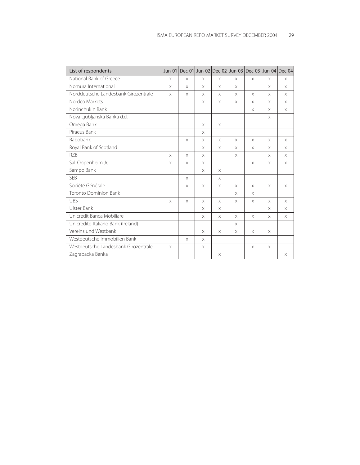| List of respondents                  | $Jun-01$ |          |          | Dec-01 Jun-02 Dec-02 Jun-03 Dec-03 Jun-04 Dec-04 |          |          |          |          |
|--------------------------------------|----------|----------|----------|--------------------------------------------------|----------|----------|----------|----------|
| National Bank of Greece              | $\times$ | $\times$ | $\times$ | $\times$                                         | $\times$ | $\times$ | X        | $\times$ |
| Nomura International                 | X        | $\times$ | X        | X                                                | $\times$ |          | X        | X        |
| Norddeutsche Landesbank Girozentrale | $\times$ | $\times$ | X        | X                                                | $\times$ | $\times$ | X        | X        |
| Nordea Markets                       |          |          | X        | X                                                | $\times$ | $\times$ | X        | X        |
| Norinchukin Bank                     |          |          |          |                                                  |          | $\times$ | X        | $\times$ |
| Nova Ljubljanska Banka d.d.          |          |          |          |                                                  |          |          | $\times$ |          |
| Omega Bank                           |          |          | $\times$ | $\times$                                         |          |          |          |          |
| Piraeus Bank                         |          |          | $\times$ |                                                  |          |          |          |          |
| Rabobank                             |          | $\times$ | X        | $\times$                                         | $\times$ | $\times$ | X        | X        |
| Royal Bank of Scotland               |          |          | $\times$ | X                                                | X        | X        | X        | $\times$ |
| R7B                                  | $\times$ | $\times$ | $\times$ |                                                  | $\times$ |          | X        | $\times$ |
| Sal. Oppenheim Jr.                   | $\times$ | $\times$ | $\times$ |                                                  |          | $\times$ | X        | $\times$ |
| Sampo Bank                           |          |          | $\times$ | $\times$                                         |          |          |          |          |
| <b>SEB</b>                           |          | $\times$ |          | $\times$                                         |          |          |          |          |
| Société Générale                     |          | $\times$ | $\times$ | X                                                | $\times$ | $\times$ | X        | $\times$ |
| <b>Toronto Dominion Bank</b>         |          |          |          |                                                  | $\times$ | $\times$ |          |          |
| <b>UBS</b>                           | $\times$ | $\times$ | $\times$ | X                                                | $\times$ | $\times$ | X        | X        |
| Ulster Bank                          |          |          | X        | X                                                |          |          | X        | X        |
| Unicredit Banca Mobiliare            |          |          | X        | X                                                | $\times$ | $\times$ | X        | X        |
| Unicredito Italiano Bank (Ireland)   |          |          |          |                                                  | $\times$ |          |          |          |
| Vereins und Westbank                 |          |          | $\times$ | X                                                | $\times$ | $\times$ | X        |          |
| Westdeutsche Immobilien Bank         |          | $\times$ | X        |                                                  |          |          |          |          |
| Westdeutsche Landesbank Girozentrale | $\times$ |          | X        |                                                  |          | $\times$ | X        |          |
| Zagrabacka Banka                     |          |          |          | $\times$                                         |          |          |          | $\times$ |